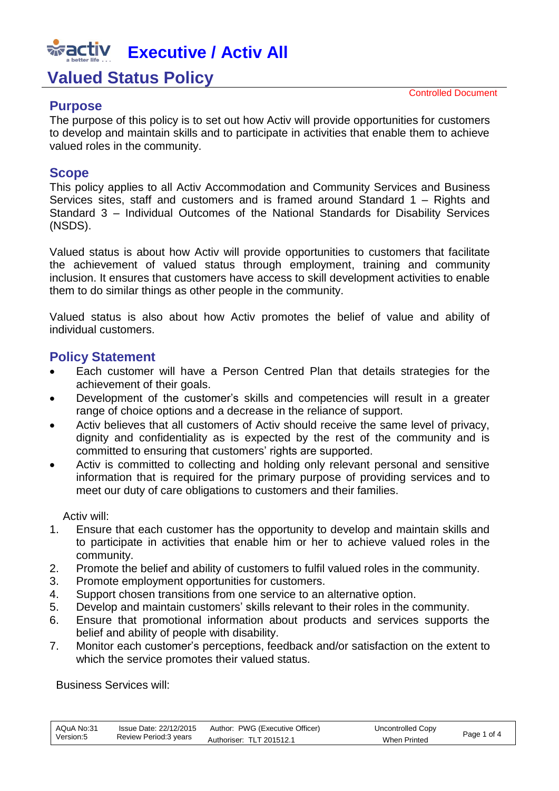# **Executive / Activ All**

### **Valued Status Policy**

#### **Purpose**

Controlled Document

The purpose of this policy is to set out how Activ will provide opportunities for customers to develop and maintain skills and to participate in activities that enable them to achieve valued roles in the community.

#### **Scope**

This policy applies to all Activ Accommodation and Community Services and Business Services sites, staff and customers and is framed around Standard 1 – Rights and Standard 3 – Individual Outcomes of the National Standards for Disability Services (NSDS).

Valued status is about how Activ will provide opportunities to customers that facilitate the achievement of valued status through employment, training and community inclusion. It ensures that customers have access to skill development activities to enable them to do similar things as other people in the community.

Valued status is also about how Activ promotes the belief of value and ability of individual customers.

#### **Policy Statement**

- Each customer will have a Person Centred Plan that details strategies for the achievement of their goals.
- Development of the customer's skills and competencies will result in a greater range of choice options and a decrease in the reliance of support.
- Activ believes that all customers of Activ should receive the same level of privacy, dignity and confidentiality as is expected by the rest of the community and is committed to ensuring that customers' rights are supported.
- Activ is committed to collecting and holding only relevant personal and sensitive information that is required for the primary purpose of providing services and to meet our duty of care obligations to customers and their families.

Activ will:

- 1. Ensure that each customer has the opportunity to develop and maintain skills and to participate in activities that enable him or her to achieve valued roles in the community.
- 2. Promote the belief and ability of customers to fulfil valued roles in the community.
- 3. Promote employment opportunities for customers.
- 4. Support chosen transitions from one service to an alternative option.
- 5. Develop and maintain customers' skills relevant to their roles in the community.
- 6. Ensure that promotional information about products and services supports the belief and ability of people with disability.
- 7. Monitor each customer's perceptions, feedback and/or satisfaction on the extent to which the service promotes their valued status.

Business Services will:

| AQuA No:31 | Issue Date: 22/12/2015 | Author: PWG (Executive Officer) | Uncontrolled Copy   |             |
|------------|------------------------|---------------------------------|---------------------|-------------|
| Version:5  | Review Period: 3 years | Authoriser: TLT 201512.1        | <b>When Printed</b> | Page 1 of 4 |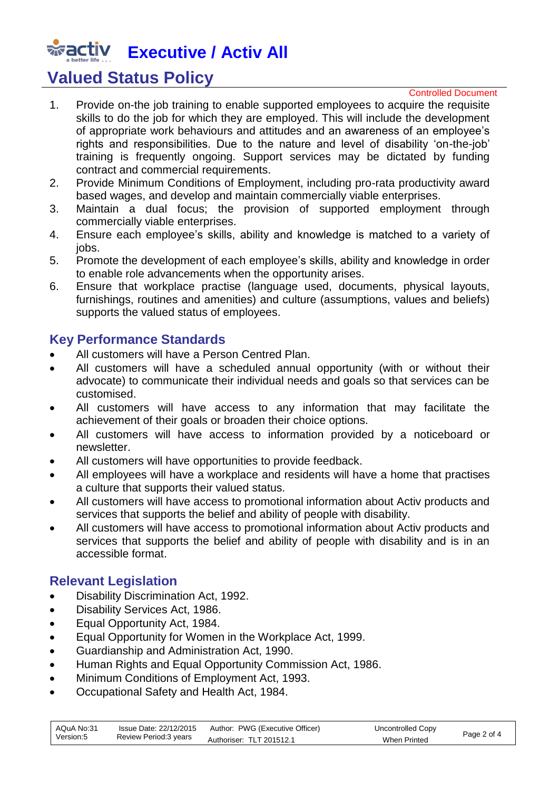## **Executive / Activ All**

## **Valued Status Policy**

#### Controlled Document

- 1. Provide on-the job training to enable supported employees to acquire the requisite skills to do the job for which they are employed. This will include the development of appropriate work behaviours and attitudes and an awareness of an employee's rights and responsibilities. Due to the nature and level of disability 'on-the-job' training is frequently ongoing. Support services may be dictated by funding contract and commercial requirements.
- 2. Provide Minimum Conditions of Employment, including pro-rata productivity award based wages, and develop and maintain commercially viable enterprises.
- 3. Maintain a dual focus; the provision of supported employment through commercially viable enterprises.
- 4. Ensure each employee's skills, ability and knowledge is matched to a variety of jobs.
- 5. Promote the development of each employee's skills, ability and knowledge in order to enable role advancements when the opportunity arises.
- 6. Ensure that workplace practise (language used, documents, physical layouts, furnishings, routines and amenities) and culture (assumptions, values and beliefs) supports the valued status of employees.

#### **Key Performance Standards**

- All customers will have a [Person](http://activnet/Intralogic/content/279.pdf) Centred Plan.
- All customers will have a scheduled annual opportunity (with or without their advocate) to communicate their individual needs and goals so that services can be customised.
- All customers will have access to any information that may facilitate the achievement of their goals or broaden their choice options.
- All customers will have access to information provided by a noticeboard or newsletter.
- All customers will have opportunities to provide feedback.
- All employees will have a workplace and residents will have a home that practises a culture that supports their valued status.
- All customers will have access to promotional information about Activ products and services that supports the belief and ability of people with disability.
- All customers will have access to promotional information about Activ products and services that supports the belief and ability of people with disability and is in an accessible format.

#### **Relevant Legislation**

- Disability Discrimination Act, 1992.
- Disability Services Act, 1986.
- Equal Opportunity Act, 1984.
- Equal Opportunity for Women in the Workplace Act, 1999.
- Guardianship and Administration Act, 1990.
- Human Rights and Equal Opportunity Commission Act, 1986.
- Minimum Conditions of Employment Act, 1993.
- Occupational Safety and Health Act, 1984.

| AQuA No:31 | lssue Date: 22/12/2015<br>Review Period: 3 years | Author: PWG (Executive Officer) | Uncontrolled Copy | Page 2 of 4 |
|------------|--------------------------------------------------|---------------------------------|-------------------|-------------|
| Version:5  |                                                  | Authoriser: TLT 201512.1        | When Printed      |             |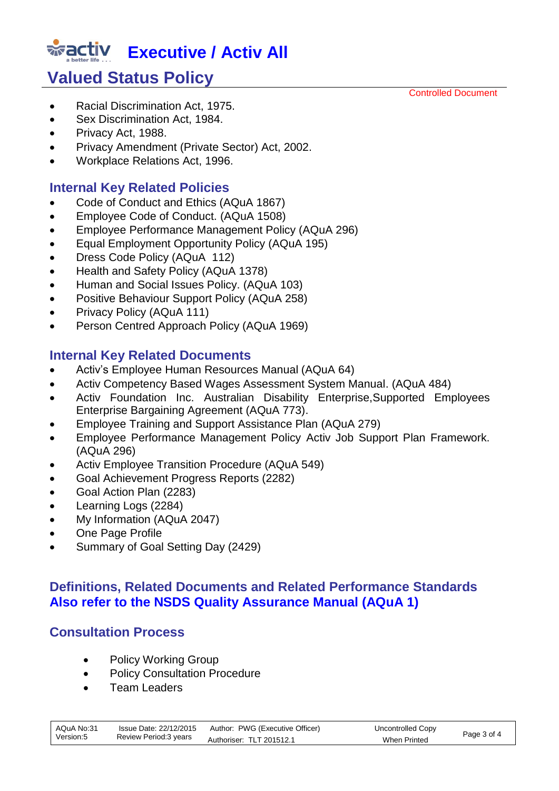# **Executive / Activ All**

## **Valued Status Policy**

- Racial Discrimination Act, 1975.
- Sex Discrimination Act, 1984.
- Privacy Act, 1988.
- Privacy Amendment (Private Sector) Act, 2002.
- Workplace Relations Act, 1996.

#### **Internal Key Related Policies**

- [Code of Conduct and Ethics \(AQuA 1867\)](http://activnet/Intralogic/content/00003509/1867.pdf)
- **[Employee Code of Conduct.](http://activnet/Intralogic/content/00002863/1508.pdf) (AQuA 1508)**
- Employee [Performance Management Policy \(AQuA 296\)](http://activnet/Intralogic/content/00000478/296.pdf)
- [Equal Employment Opportunity Policy](http://activnet/Intralogic/content/00000372/195.pdf) (AQuA 195)
- [Dress Code Policy](http://activnet/Intralogic/content/00000275/112.pdf) (AQuA 112)
- [Health and Safety Policy \(AQuA 1378\)](http://activnet/Intralogic/content/00002301/1378.pdf)
- [Human and Social Issues Policy.](http://activnet/Intralogic/content/00000184/103.pdf) (AQuA 103)
- Positive Behaviour Support Policy (AQuA 258)
- [Privacy Policy \(AQuA 111\)](http://activnet/Intralogic/content/00000266/111.pdf)
- Person Centred Approach Policy (AQuA 1969)

#### **Internal Key Related Documents**

- [Activ's Employee Human Resources Manual \(AQuA 64\)](http://activnet/Intralogic/content/00000720/64.pdf)
- [Activ Competency Based Wages Assessment System Manual.](http://activnet/Intralogic/content/00000570/484.pdf) (AQuA 484)
- [Activ Foundation Inc. Australian Disability Enterprise,Supported Employees](http://activnet/Intralogic/content/00000844/773.pdf)  [Enterprise Bargaining Agreement \(AQuA 773\).](http://activnet/Intralogic/content/00000844/773.pdf)
- [Employee Training and Support](http://activnet/Intralogic/content/00000459/279.doc) Assistance Plan (AQuA 279)
- [Employee Performance Management Policy Activ Job Support Plan Framework.](http://activnet/Intralogic/content/00000469/288.doc)  [\(AQuA 296\)](http://activnet/Intralogic/content/00000469/288.doc)
- [Activ Employee Transition Procedure \(AQuA 549\)](http://activnet/Intralogic/content/00000623/549.pdf)
- Goal Achievement Progress Reports (2282)
- Goal Action Plan (2283)
- Learning Logs (2284)
- [My Information \(AQuA 2047\)](http://activnet/Intralogic/content/00004031/2047.doc)
- One Page Profile
- Summary of Goal Setting Day (2429)

#### **Definitions, Related Documents and Related Performance Standards Also refer to the NSDS Quality Assurance Manual (AQuA 1)**

#### **Consultation Process**

- Policy Working Group
- Policy Consultation Procedure
- Team Leaders

| AQuA No:31 | Issue Date: 22/12/2015 | Author: PWG (Executive Officer) | Uncontrolled Copy |             |
|------------|------------------------|---------------------------------|-------------------|-------------|
| Version:5  | Review Period:3 years  | Authoriser: TLT 201512.1        | When Printed      | Page 3 of 4 |

Controlled Document